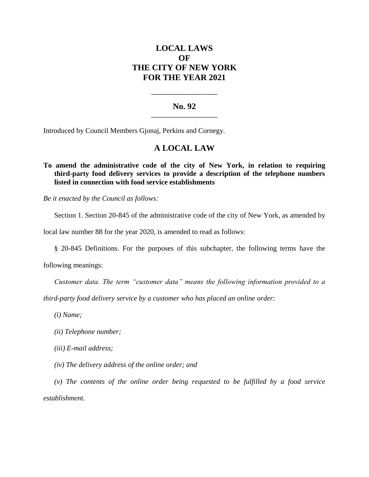# **LOCAL LAWS OF THE CITY OF NEW YORK FOR THE YEAR 2021**

## **No. 92 \_\_\_\_\_\_\_\_\_\_\_\_\_\_\_\_\_\_\_\_\_\_**

**\_\_\_\_\_\_\_\_\_\_\_\_\_\_\_\_\_\_\_\_\_\_**

Introduced by Council Members Gjonaj, Perkins and Cornegy.

# **A LOCAL LAW**

### **To amend the administrative code of the city of New York, in relation to requiring third-party food delivery services to provide a description of the telephone numbers listed in connection with food service establishments**

*Be it enacted by the Council as follows:*

Section 1. Section 20-845 of the administrative code of the city of New York, as amended by

local law number 88 for the year 2020, is amended to read as follows:

§ 20-845 Definitions. For the purposes of this subchapter, the following terms have the

following meanings:

*Customer data. The term "customer data" means the following information provided to a* 

*third-party food delivery service by a customer who has placed an online order:*

*(i) Name;*

*(ii) Telephone number;*

*(iii) E-mail address;*

*(iv) The delivery address of the online order; and*

*(v) The contents of the online order being requested to be fulfilled by a food service establishment.*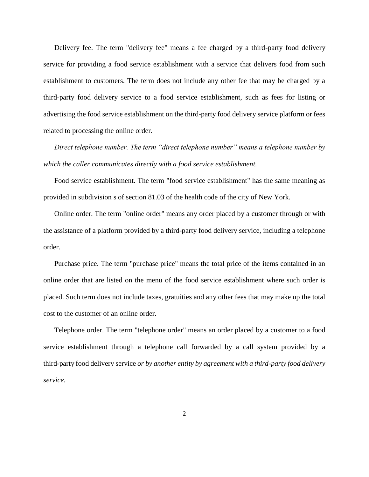Delivery fee. The term "delivery fee" means a fee charged by a third-party food delivery service for providing a food service establishment with a service that delivers food from such establishment to customers. The term does not include any other fee that may be charged by a third-party food delivery service to a food service establishment, such as fees for listing or advertising the food service establishment on the third-party food delivery service platform or fees related to processing the online order.

*Direct telephone number. The term "direct telephone number" means a telephone number by which the caller communicates directly with a food service establishment.*

Food service establishment. The term "food service establishment" has the same meaning as provided in subdivision s of section 81.03 of the health code of the city of New York.

Online order. The term "online order" means any order placed by a customer through or with the assistance of a platform provided by a third-party food delivery service, including a telephone order.

Purchase price. The term "purchase price" means the total price of the items contained in an online order that are listed on the menu of the food service establishment where such order is placed. Such term does not include taxes, gratuities and any other fees that may make up the total cost to the customer of an online order.

Telephone order. The term "telephone order" means an order placed by a customer to a food service establishment through a telephone call forwarded by a call system provided by a third-party food delivery service *or by another entity by agreement with a third-party food delivery service*.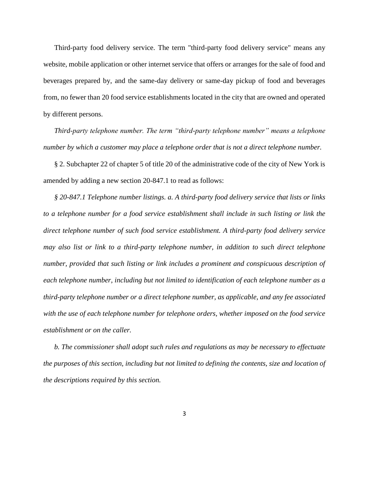Third-party food delivery service. The term "third-party food delivery service" means any website, mobile application or other internet service that offers or arranges for the sale of food and beverages prepared by, and the same-day delivery or same-day pickup of food and beverages from, no fewer than 20 food service establishments located in the city that are owned and operated by different persons.

*Third-party telephone number. The term "third-party telephone number" means a telephone number by which a customer may place a telephone order that is not a direct telephone number.* 

§ 2. Subchapter 22 of chapter 5 of title 20 of the administrative code of the city of New York is amended by adding a new section 20-847.1 to read as follows:

*§ 20-847.1 Telephone number listings. a. A third-party food delivery service that lists or links to a telephone number for a food service establishment shall include in such listing or link the direct telephone number of such food service establishment. A third-party food delivery service may also list or link to a third-party telephone number, in addition to such direct telephone number, provided that such listing or link includes a prominent and conspicuous description of each telephone number, including but not limited to identification of each telephone number as a third-party telephone number or a direct telephone number, as applicable, and any fee associated with the use of each telephone number for telephone orders, whether imposed on the food service establishment or on the caller.* 

*b. The commissioner shall adopt such rules and regulations as may be necessary to effectuate the purposes of this section, including but not limited to defining the contents, size and location of the descriptions required by this section.*